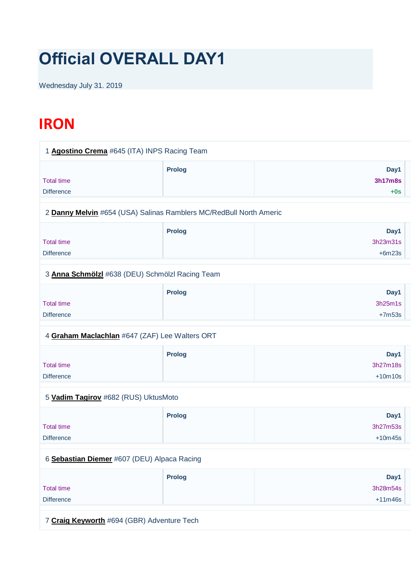# **Official OVERALL DAY1**

Wednesday July 31. 2019

# **IRON**

| 1 Agostino Crema #645 (ITA) INPS Racing Team                       |               |                                 |
|--------------------------------------------------------------------|---------------|---------------------------------|
| <b>Total time</b><br><b>Difference</b>                             | <b>Prolog</b> | Day1<br><b>3h17m8s</b><br>$+0s$ |
| 2 Danny Melvin #654 (USA) Salinas Ramblers MC/RedBull North Americ |               |                                 |
| <b>Total time</b><br><b>Difference</b>                             | <b>Prolog</b> | Day1<br>3h23m31s<br>$+6m23s$    |
| 3 Anna Schmölzl #638 (DEU) Schmölzl Racing Team                    |               |                                 |
| <b>Total time</b><br><b>Difference</b>                             | <b>Prolog</b> | Day1<br>3h25m1s<br>$+7m53s$     |
| 4 Graham Maclachlan #647 (ZAF) Lee Walters ORT                     |               |                                 |
| <b>Total time</b><br><b>Difference</b>                             | Prolog        | Day1<br>3h27m18s<br>$+10m10s$   |
| 5 Vadim Tagirov #682 (RUS) UktusMoto                               |               |                                 |
| <b>Total time</b><br><b>Difference</b>                             | <b>Prolog</b> | Day1<br>3h27m53s<br>$+10m45s$   |
| 6 Sebastian Diemer #607 (DEU) Alpaca Racing                        |               |                                 |
| <b>Total time</b><br><b>Difference</b>                             | <b>Prolog</b> | Day1<br>3h28m54s<br>$+11m46s$   |
| 7 Craig Keyworth #694 (GBR) Adventure Tech                         |               |                                 |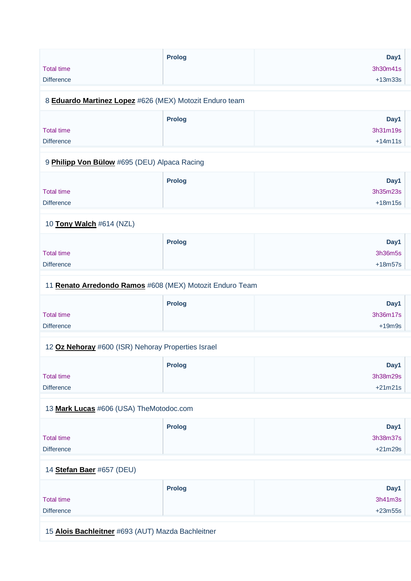| <b>Prolog</b>                                            |           |
|----------------------------------------------------------|-----------|
|                                                          | Day1      |
| <b>Total time</b>                                        | 3h30m41s  |
| <b>Difference</b>                                        | $+13m33s$ |
| 8 Eduardo Martinez Lopez #626 (MEX) Motozit Enduro team  |           |
| <b>Prolog</b>                                            | Day1      |
| <b>Total time</b>                                        | 3h31m19s  |
| <b>Difference</b>                                        | $+14m11s$ |
|                                                          |           |
| 9 Philipp Von Bülow #695 (DEU) Alpaca Racing             |           |
| <b>Prolog</b>                                            | Day1      |
| <b>Total time</b>                                        | 3h35m23s  |
| <b>Difference</b>                                        | $+18m15s$ |
|                                                          |           |
| 10 Tony Walch #614 (NZL)                                 |           |
| <b>Prolog</b>                                            | Day1      |
| <b>Total time</b>                                        | 3h36m5s   |
| <b>Difference</b>                                        | $+18m57s$ |
| 11 Renato Arredondo Ramos #608 (MEX) Motozit Enduro Team |           |
|                                                          |           |
| <b>Prolog</b>                                            | Day1      |
| <b>Total time</b>                                        | 3h36m17s  |
| <b>Difference</b>                                        | $+19m9s$  |
| 12 Oz Nehoray #600 (ISR) Nehoray Properties Israel       |           |
| <b>Prolog</b>                                            | Day1      |
| <b>Total time</b>                                        | 3h38m29s  |
| <b>Difference</b>                                        | $+21m21s$ |
|                                                          |           |
| 13 Mark Lucas #606 (USA) TheMotodoc.com                  |           |
| <b>Prolog</b>                                            | Day1      |
| <b>Total time</b>                                        | 3h38m37s  |
| <b>Difference</b>                                        | $+21m29s$ |
|                                                          |           |
| 14 Stefan Baer #657 (DEU)                                |           |
| <b>Prolog</b>                                            | Day1      |
|                                                          | 3h41m3s   |
| <b>Total time</b>                                        |           |
| <b>Difference</b>                                        | $+23m55s$ |

15 **[Alois Bachleitner](https://www.redbullromaniacs.com/for-competitors/profile/?e=rbr2019&b=693)** #693 (AUT) Mazda Bachleitner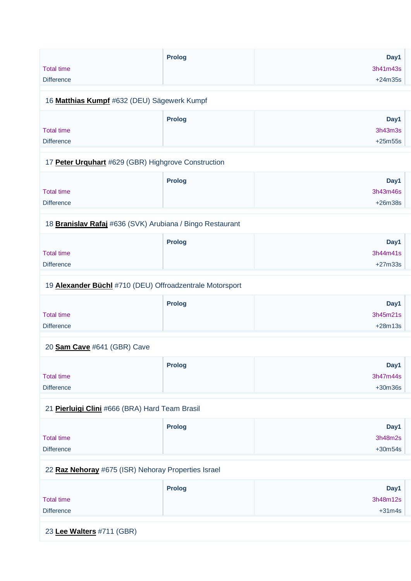|                   | <b>Prolog</b> | Day1      |
|-------------------|---------------|-----------|
| <b>Total time</b> |               | 3h41m43s  |
| <b>Difference</b> |               | $+24m35s$ |
|                   |               |           |

# 16 **[Matthias Kumpf](https://www.redbullromaniacs.com/for-competitors/profile/?e=rbr2019&b=632)** #632 (DEU) Sägewerk Kumpf

|                   | <b>Prolog</b> | Day1      |
|-------------------|---------------|-----------|
| <b>Total time</b> |               | 3h43m3s   |
| <b>Difference</b> |               | $+25m55s$ |

#### 17 **[Peter Urquhart](https://www.redbullromaniacs.com/for-competitors/profile/?e=rbr2019&b=629)** #629 (GBR) Highgrove Construction

|                   | <b>Prolog</b> | Day1      |
|-------------------|---------------|-----------|
| <b>Total time</b> |               | 3h43m46s  |
| <b>Difference</b> |               | $+26m38s$ |
|                   |               |           |

### 18 **[Branislav Rafaj](https://www.redbullromaniacs.com/for-competitors/profile/?e=rbr2019&b=636)** #636 (SVK) Arubiana / Bingo Restaurant

|                   | <b>Prolog</b> | Day1      |
|-------------------|---------------|-----------|
| <b>Total time</b> |               | 3h44m41s  |
| <b>Difference</b> |               | $+27m33s$ |
|                   |               |           |

#### 19 **[Alexander Büchl](https://www.redbullromaniacs.com/for-competitors/profile/?e=rbr2019&b=710)** #710 (DEU) Offroadzentrale Motorsport

|                   | <b>Prolog</b> | Day1      |
|-------------------|---------------|-----------|
| <b>Total time</b> |               | 3h45m21s  |
| <b>Difference</b> |               | $+28m13s$ |

#### 20 **[Sam Cave](https://www.redbullromaniacs.com/for-competitors/profile/?e=rbr2019&b=641)** #641 (GBR) Cave

|                   | <b>Prolog</b> | Day1      |
|-------------------|---------------|-----------|
| <b>Total time</b> |               | 3h47m44s  |
| <b>Difference</b> |               | $+30m36s$ |

# 21 **[Pierluigi Clini](https://www.redbullromaniacs.com/for-competitors/profile/?e=rbr2019&b=666)** #666 (BRA) Hard Team Brasil

|                   | <b>Prolog</b> | Day1      |
|-------------------|---------------|-----------|
| <b>Total time</b> |               | 3h48m2s   |
| <b>Difference</b> |               | $+30m54s$ |

#### 22 **[Raz Nehoray](https://www.redbullromaniacs.com/for-competitors/profile/?e=rbr2019&b=675)** #675 (ISR) Nehoray Properties Israel

|                   | <b>Prolog</b> | Day1     |
|-------------------|---------------|----------|
| Total time        |               | 3h48m12s |
| <b>Difference</b> |               | $+31m4s$ |

23 **[Lee Walters](https://www.redbullromaniacs.com/for-competitors/profile/?e=rbr2019&b=711)** #711 (GBR)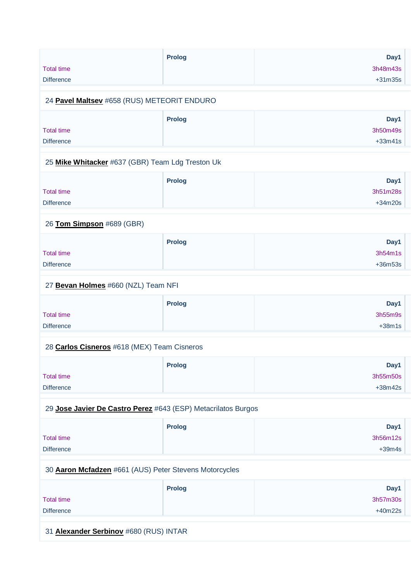| <b>Total time</b><br><b>Difference</b>                        | <b>Prolog</b> | Day1<br>3h48m43s<br>$+31m35s$ |
|---------------------------------------------------------------|---------------|-------------------------------|
| 24 Pavel Maltsev #658 (RUS) METEORIT ENDURO                   |               |                               |
| <b>Total time</b><br><b>Difference</b>                        | <b>Prolog</b> | Day1<br>3h50m49s<br>$+33m41s$ |
| 25 Mike Whitacker #637 (GBR) Team Ldg Treston Uk              |               |                               |
| <b>Total time</b><br><b>Difference</b>                        | <b>Prolog</b> | Day1<br>3h51m28s<br>$+34m20s$ |
| 26 Tom Simpson #689 (GBR)                                     |               |                               |
| <b>Total time</b><br><b>Difference</b>                        | <b>Prolog</b> | Day1<br>3h54m1s<br>+36m53s    |
| 27 Bevan Holmes #660 (NZL) Team NFI                           |               |                               |
| <b>Total time</b><br><b>Difference</b>                        | <b>Prolog</b> | Day1<br>3h55m9s<br>$+38m1s$   |
| 28 Carlos Cisneros #618 (MEX) Team Cisneros                   |               |                               |
| <b>Total time</b><br><b>Difference</b>                        | <b>Prolog</b> | Day1<br>3h55m50s<br>$+38m42s$ |
| 29 Jose Javier De Castro Perez #643 (ESP) Metacrilatos Burgos |               |                               |
| <b>Total time</b><br><b>Difference</b>                        | <b>Prolog</b> | Day1<br>3h56m12s<br>$+39m4s$  |
| 30 Aaron Mcfadzen #661 (AUS) Peter Stevens Motorcycles        |               |                               |
| <b>Total time</b><br><b>Difference</b>                        | <b>Prolog</b> | Day1<br>3h57m30s<br>$+40m22s$ |

31 **[Alexander Serbinov](https://www.redbullromaniacs.com/for-competitors/profile/?e=rbr2019&b=680)** #680 (RUS) INTAR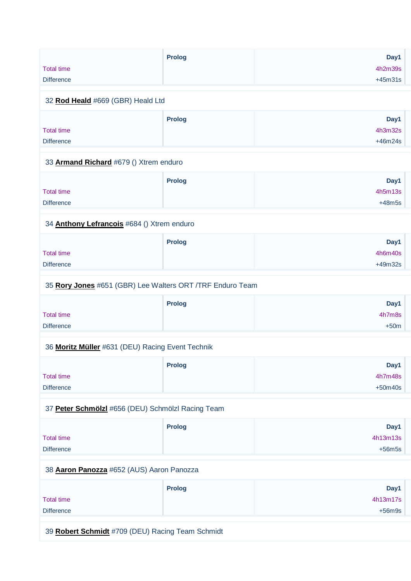|                   | <b>Prolog</b> | Day1      |
|-------------------|---------------|-----------|
| <b>Total time</b> |               | 4h2m39s   |
| <b>Difference</b> |               | $+45m31s$ |

#### 32 **[Rod Heald](https://www.redbullromaniacs.com/for-competitors/profile/?e=rbr2019&b=669)** #669 (GBR) Heald Ltd

|                   | <b>Prolog</b> | Day1      |
|-------------------|---------------|-----------|
| <b>Total time</b> |               | 4h3m32s   |
| <b>Difference</b> |               | $+46m24s$ |

#### 33 **[Armand Richard](https://www.redbullromaniacs.com/for-competitors/profile/?e=rbr2019&b=679)** #679 () Xtrem enduro

|                   | <b>Prolog</b> | Day1     |
|-------------------|---------------|----------|
| <b>Total time</b> |               | 4h5m13s  |
| <b>Difference</b> |               | $+48m5s$ |

#### 34 **[Anthony Lefrancois](https://www.redbullromaniacs.com/for-competitors/profile/?e=rbr2019&b=684)** #684 () Xtrem enduro

| <b>Prolog</b> | Day1      |
|---------------|-----------|
|               | 4h6m40s   |
|               | $+49m32s$ |
|               |           |

#### 35 **[Rory Jones](https://www.redbullromaniacs.com/for-competitors/profile/?e=rbr2019&b=651)** #651 (GBR) Lee Walters ORT /TRF Enduro Team

|                   | <b>Prolog</b> | Day1   |
|-------------------|---------------|--------|
| Total time        |               | 4h7m8s |
| <b>Difference</b> |               | $+50m$ |

#### 36 **[Moritz Müller](https://www.redbullromaniacs.com/for-competitors/profile/?e=rbr2019&b=631)** #631 (DEU) Racing Event Technik

|                   | <b>Prolog</b> | Day1      |
|-------------------|---------------|-----------|
| <b>Total time</b> |               | 4h7m48s   |
| <b>Difference</b> |               | $+50m40s$ |

# 37 **[Peter Schmölzl](https://www.redbullromaniacs.com/for-competitors/profile/?e=rbr2019&b=656)** #656 (DEU) Schmölzl Racing Team

|                   | <b>Prolog</b> | Day1     |
|-------------------|---------------|----------|
| Total time        |               | 4h13m13s |
| <b>Difference</b> |               | $+56m5s$ |

#### 38 **[Aaron Panozza](https://www.redbullromaniacs.com/for-competitors/profile/?e=rbr2019&b=652)** #652 (AUS) Aaron Panozza

|                   | <b>Prolog</b> | Day1     |
|-------------------|---------------|----------|
| <b>Total time</b> |               | 4h13m17s |
| <b>Difference</b> |               | $+56m9s$ |

39 **[Robert Schmidt](https://www.redbullromaniacs.com/for-competitors/profile/?e=rbr2019&b=709)** #709 (DEU) Racing Team Schmidt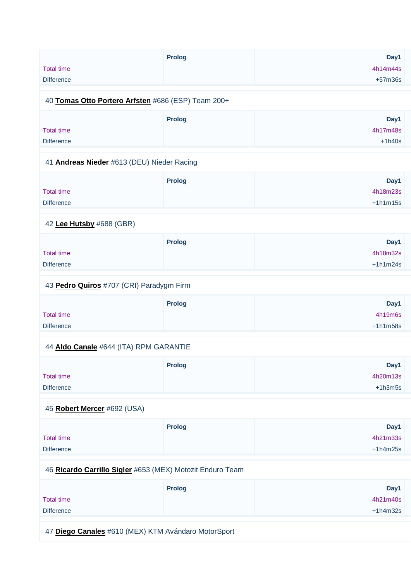| <b>Total time</b>                          | <b>Prolog</b>                                             | Day1<br>4h14m44s |
|--------------------------------------------|-----------------------------------------------------------|------------------|
| <b>Difference</b>                          |                                                           |                  |
|                                            |                                                           | $+57m36s$        |
|                                            | 40 Tomas Otto Portero Arfsten #686 (ESP) Team 200+        |                  |
|                                            | <b>Prolog</b>                                             | Day1             |
| <b>Total time</b>                          |                                                           | 4h17m48s         |
| <b>Difference</b>                          |                                                           | $+1h40s$         |
| 41 Andreas Nieder #613 (DEU) Nieder Racing |                                                           |                  |
|                                            | <b>Prolog</b>                                             | Day1             |
| <b>Total time</b>                          |                                                           | 4h18m23s         |
| <b>Difference</b>                          |                                                           | $+1h1m15s$       |
| 42 Lee Hutsby #688 (GBR)                   |                                                           |                  |
|                                            | <b>Prolog</b>                                             | Day1             |
| <b>Total time</b>                          |                                                           | 4h18m32s         |
| <b>Difference</b>                          |                                                           | $+1h1m24s$       |
| 43 Pedro Quiros #707 (CRI) Paradygm Firm   |                                                           |                  |
|                                            | <b>Prolog</b>                                             | Day1             |
| <b>Total time</b><br><b>Difference</b>     |                                                           | 4h19m6s          |
| 44 Aldo Canale #644 (ITA) RPM GARANTIE     |                                                           | $+1h1m58s$       |
|                                            | <b>Prolog</b>                                             | Day1             |
| <b>Total time</b>                          |                                                           | 4h20m13s         |
| <b>Difference</b>                          |                                                           | $+1h3m5s$        |
| 45 Robert Mercer #692 (USA)                |                                                           |                  |
|                                            |                                                           |                  |
| <b>Total time</b>                          | <b>Prolog</b>                                             | Day1<br>4h21m33s |
| <b>Difference</b>                          |                                                           | $+1h4m25s$       |
|                                            |                                                           |                  |
|                                            | 46 Ricardo Carrillo Sigler #653 (MEX) Motozit Enduro Team |                  |
|                                            | <b>Prolog</b>                                             | Day1             |
| <b>Total time</b>                          |                                                           | 4h21m40s         |
| <b>Difference</b>                          |                                                           | $+1h4m32s$       |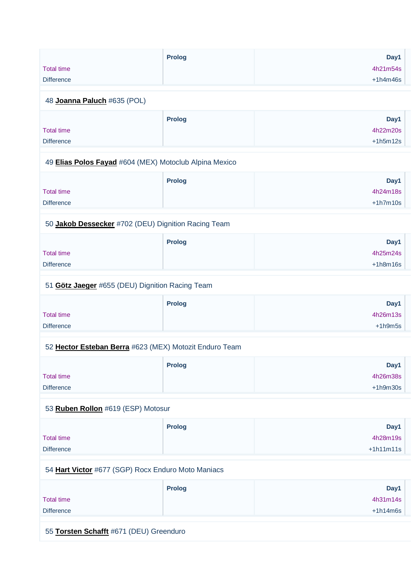|                                                        | <b>Prolog</b> | Day1        |
|--------------------------------------------------------|---------------|-------------|
| <b>Total time</b>                                      |               | 4h21m54s    |
| <b>Difference</b>                                      |               | $+1h4m46s$  |
|                                                        |               |             |
| 48 Joanna Paluch #635 (POL)                            |               |             |
|                                                        | <b>Prolog</b> | Day1        |
| <b>Total time</b>                                      |               | 4h22m20s    |
| <b>Difference</b>                                      |               | $+1h5m12s$  |
| 49 Elias Polos Fayad #604 (MEX) Motoclub Alpina Mexico |               |             |
|                                                        | <b>Prolog</b> | Day1        |
| <b>Total time</b>                                      |               | 4h24m18s    |
| <b>Difference</b>                                      |               | $+1h7m10s$  |
| 50 Jakob Dessecker #702 (DEU) Dignition Racing Team    |               |             |
|                                                        | <b>Prolog</b> | Day1        |
| <b>Total time</b>                                      |               | 4h25m24s    |
| <b>Difference</b>                                      |               | $+1h8m16s$  |
| 51 Götz Jaeger #655 (DEU) Dignition Racing Team        |               |             |
|                                                        | <b>Prolog</b> | Day1        |
| <b>Total time</b>                                      |               | 4h26m13s    |
| <b>Difference</b>                                      |               | $+1h9m5s$   |
| 52 Hector Esteban Berra #623 (MEX) Motozit Enduro Team |               |             |
|                                                        | <b>Prolog</b> | Day1        |
| <b>Total time</b>                                      |               | 4h26m38s    |
| <b>Difference</b>                                      |               | $+1h9m30s$  |
| 53 Ruben Rollon #619 (ESP) Motosur                     |               |             |
|                                                        | <b>Prolog</b> | Day1        |
| <b>Total time</b>                                      |               | 4h28m19s    |
| <b>Difference</b>                                      |               | $+1h11m11s$ |
| 54 Hart Victor #677 (SGP) Rocx Enduro Moto Maniacs     |               |             |
|                                                        | <b>Prolog</b> | Day1        |
| <b>Total time</b>                                      |               | 4h31m14s    |
| <b>Difference</b>                                      |               | $+1h14m6s$  |
|                                                        |               |             |

55 **[Torsten Schafft](https://www.redbullromaniacs.com/for-competitors/profile/?e=rbr2019&b=671)** #671 (DEU) Greenduro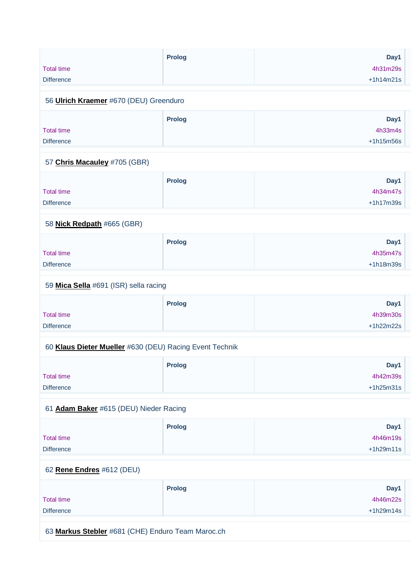| <b>Total time</b><br><b>Difference</b> | <b>Prolog</b>                     | Day1<br>4h31m29s<br>$+1h14m21s$ |
|----------------------------------------|-----------------------------------|---------------------------------|
| 56 Ulrich Kraemer #670 (DEU) Greenduro |                                   |                                 |
| <b>Total time</b><br><b>Difference</b> | <b>Prolog</b>                     | Day1<br>4h33m4s<br>$+1h15m56s$  |
| 57 Chris Macauley #705 (GBR)           |                                   |                                 |
|                                        | <b>Contract Contract Contract</b> | . .                             |

|                   | <b>Prolog</b> | Day1        |
|-------------------|---------------|-------------|
| <b>Total time</b> |               | 4h34m47s    |
| <b>Difference</b> |               | $+1h17m39s$ |
|                   |               |             |

#### 58 **[Nick Redpath](https://www.redbullromaniacs.com/for-competitors/profile/?e=rbr2019&b=665)** #665 (GBR)

|                   | <b>Prolog</b> | Day1        |
|-------------------|---------------|-------------|
| <b>Total time</b> |               | 4h35m47s    |
| <b>Difference</b> |               | $+1h18m39s$ |

#### 59 **[Mica Sella](https://www.redbullromaniacs.com/for-competitors/profile/?e=rbr2019&b=691)** #691 (ISR) sella racing

|                   | <b>Prolog</b> | Day1        |
|-------------------|---------------|-------------|
| <b>Total time</b> |               | 4h39m30s    |
| <b>Difference</b> |               | $+1h22m22s$ |

# 60 **[Klaus Dieter Mueller](https://www.redbullromaniacs.com/for-competitors/profile/?e=rbr2019&b=630)** #630 (DEU) Racing Event Technik

|                   | <b>Prolog</b> | Day1        |
|-------------------|---------------|-------------|
| <b>Total time</b> |               | 4h42m39s    |
| <b>Difference</b> |               | $+1h25m31s$ |

# 61 **[Adam Baker](https://www.redbullromaniacs.com/for-competitors/profile/?e=rbr2019&b=615)** #615 (DEU) Nieder Racing

|                   | <b>Prolog</b> | Day1        |
|-------------------|---------------|-------------|
| <b>Total time</b> |               | 4h46m19s    |
| <b>Difference</b> |               | $+1h29m11s$ |

# 62 **[Rene Endres](https://www.redbullromaniacs.com/for-competitors/profile/?e=rbr2019&b=612)** #612 (DEU)

|                   | <b>Prolog</b> | Day1        |
|-------------------|---------------|-------------|
| <b>Total time</b> |               | 4h46m22s    |
| <b>Difference</b> |               | $+1h29m14s$ |

63 **[Markus Stebler](https://www.redbullromaniacs.com/for-competitors/profile/?e=rbr2019&b=681)** #681 (CHE) Enduro Team Maroc.ch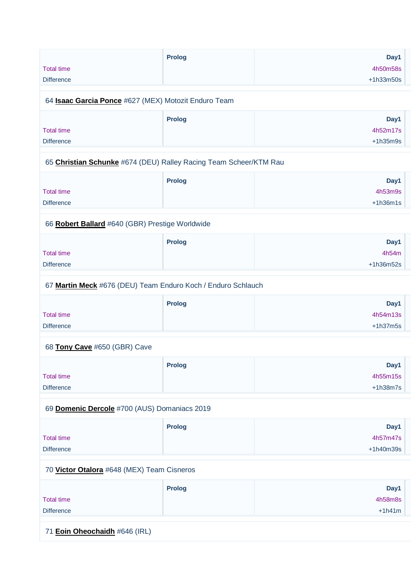| <b>Total time</b><br><b>Difference</b>                            | <b>Prolog</b> | Day1<br>4h50m58s<br>$+1h33m50s$ |
|-------------------------------------------------------------------|---------------|---------------------------------|
| 64 <b>Isaac Garcia Ponce</b> #627 (MEX) Motozit Enduro Team       |               |                                 |
| <b>Total time</b><br><b>Difference</b>                            | <b>Prolog</b> | Day1<br>4h52m17s<br>$+1h35m9s$  |
| 65 Christian Schunke #674 (DEU) Ralley Racing Team Scheer/KTM Rau |               |                                 |
| <b>Total time</b><br><b>Difference</b>                            | <b>Prolog</b> | Day1<br>4h53m9s<br>$+1h36m1s$   |
| 66 Robert Ballard #640 (GBR) Prestige Worldwide                   |               |                                 |
| <b>Total time</b><br><b>Difference</b>                            | Prolog        | Day1<br>4h54m<br>+1h36m52s      |
| 67 Martin Meck #676 (DEU) Team Enduro Koch / Enduro Schlauch      |               |                                 |
| <b>Total time</b><br><b>Difference</b>                            | <b>Prolog</b> | Day1<br>4h54m13s<br>$+1h37m5s$  |
| 68 Tony Cave #650 (GBR) Cave                                      |               |                                 |
| <b>Total time</b><br><b>Difference</b>                            | <b>Prolog</b> | Day1<br>4h55m15s<br>$+1h38m7s$  |
| 69 Domenic Dercole #700 (AUS) Domaniacs 2019                      |               |                                 |
| <b>Total time</b><br><b>Difference</b>                            | <b>Prolog</b> | Day1<br>4h57m47s<br>+1h40m39s   |
| 70 Victor Otalora #648 (MEX) Team Cisneros                        |               |                                 |
| <b>Total time</b><br><b>Difference</b>                            | <b>Prolog</b> | Day1<br>4h58m8s<br>$+1h41m$     |

71 **[Eoin Oheochaidh](https://www.redbullromaniacs.com/for-competitors/profile/?e=rbr2019&b=646)** #646 (IRL)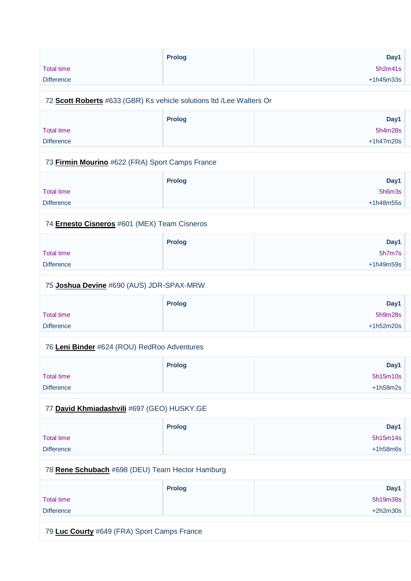|                   | <b>Prolog</b> | Day1        |
|-------------------|---------------|-------------|
| <b>Total time</b> |               | 5h2m41s     |
| <b>Difference</b> |               | $+1h45m33s$ |
|                   |               |             |

#### 72 **[Scott Roberts](https://www.redbullromaniacs.com/for-competitors/profile/?e=rbr2019&b=633)** #633 (GBR) Ks vehicle solutions ltd /Lee Walters Or

|                   | <b>Prolog</b> | Day1        |
|-------------------|---------------|-------------|
| <b>Total time</b> |               | 5h4m28s     |
| <b>Difference</b> |               | $+1h47m20s$ |
|                   |               |             |

#### 73 **[Firmin Mourino](https://www.redbullromaniacs.com/for-competitors/profile/?e=rbr2019&b=622)** #622 (FRA) Sport Camps France

|                   | <b>Prolog</b> | Day1        |
|-------------------|---------------|-------------|
| <b>Total time</b> |               | 5h6m3s      |
| <b>Difference</b> |               | $+1h48m55s$ |
|                   |               |             |

# 74 **[Ernesto Cisneros](https://www.redbullromaniacs.com/for-competitors/profile/?e=rbr2019&b=601)** #601 (MEX) Team Cisneros

|                   | <b>Prolog</b> | Day1        |
|-------------------|---------------|-------------|
| <b>Total time</b> |               | 5h7m7s      |
| <b>Difference</b> |               | $+1h49m59s$ |

#### 75 **[Joshua Devine](https://www.redbullromaniacs.com/for-competitors/profile/?e=rbr2019&b=690)** #690 (AUS) JDR-SPAX-MRW

|                   | <b>Prolog</b> | Day1        |
|-------------------|---------------|-------------|
| <b>Total time</b> |               | 5h9m28s     |
| <b>Difference</b> |               | $+1h52m20s$ |

#### 76 **[Leni Binder](https://www.redbullromaniacs.com/for-competitors/profile/?e=rbr2019&b=624)** #624 (ROU) RedRoo Adventures

|                   | <b>Prolog</b> | Day1       |
|-------------------|---------------|------------|
| <b>Total time</b> |               | 5h15m10s   |
| <b>Difference</b> |               | $+1h58m2s$ |

#### 77 **[David Khmiadashvili](https://www.redbullromaniacs.com/for-competitors/profile/?e=rbr2019&b=697)** #697 (GEO) HUSKY.GE

|                   | <b>Prolog</b> | Day1       |
|-------------------|---------------|------------|
| <b>Total time</b> |               | 5h15m14s   |
| <b>Difference</b> |               | $+1h58m6s$ |

#### 78 **[Rene Schubach](https://www.redbullromaniacs.com/for-competitors/profile/?e=rbr2019&b=698)** #698 (DEU) Team Hector Hamburg

|                   | <b>Prolog</b> | Day1       |
|-------------------|---------------|------------|
| <b>Total time</b> |               | 5h19m38s   |
| <b>Difference</b> |               | $+2h2m30s$ |

79 **[Luc Courty](https://www.redbullromaniacs.com/for-competitors/profile/?e=rbr2019&b=649)** #649 (FRA) Sport Camps France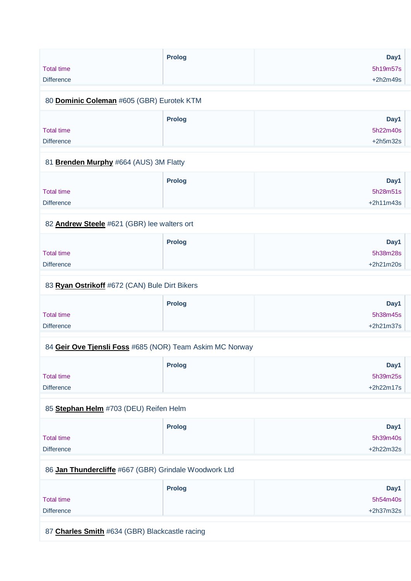|                                           | <b>Prolog</b> | Day1       |
|-------------------------------------------|---------------|------------|
| <b>Total time</b>                         |               | 5h19m57s   |
| <b>Difference</b>                         |               | $+2h2m49s$ |
| 80 Dominic Coleman #605 (GBR) Eurotek KTM |               |            |
|                                           |               |            |

|                   | <b>Prolog</b> | Day1       |
|-------------------|---------------|------------|
| <b>Total time</b> |               | 5h22m40s   |
| <b>Difference</b> |               | $+2h5m32s$ |
|                   |               |            |

#### 81 **[Brenden Murphy](https://www.redbullromaniacs.com/for-competitors/profile/?e=rbr2019&b=664)** #664 (AUS) 3M Flatty

|                   | <b>Prolog</b> | Day1        |
|-------------------|---------------|-------------|
| <b>Total time</b> |               | 5h28m51s    |
| <b>Difference</b> |               | $+2h11m43s$ |
|                   |               |             |

#### 82 **[Andrew Steele](https://www.redbullromaniacs.com/for-competitors/profile/?e=rbr2019&b=621)** #621 (GBR) lee walters ort

|                   | <b>Prolog</b> | Day1        |
|-------------------|---------------|-------------|
| <b>Total time</b> |               | 5h38m28s    |
| <b>Difference</b> |               | $+2h21m20s$ |

#### 83 **[Ryan Ostrikoff](https://www.redbullromaniacs.com/for-competitors/profile/?e=rbr2019&b=672)** #672 (CAN) Bule Dirt Bikers

|                   | <b>Prolog</b> | Day1        |
|-------------------|---------------|-------------|
| <b>Total time</b> |               | 5h38m45s    |
| <b>Difference</b> |               | $+2h21m37s$ |

#### 84 **[Geir Ove Tjensli Foss](https://www.redbullromaniacs.com/for-competitors/profile/?e=rbr2019&b=685)** #685 (NOR) Team Askim MC Norway

|                   | <b>Prolog</b> | Day1        |
|-------------------|---------------|-------------|
| <b>Total time</b> |               | 5h39m25s    |
| <b>Difference</b> |               | $+2h22m17s$ |

# 85 **[Stephan Helm](https://www.redbullromaniacs.com/for-competitors/profile/?e=rbr2019&b=703)** #703 (DEU) Reifen Helm

|                   | <b>Prolog</b> | Day1        |
|-------------------|---------------|-------------|
| <b>Total time</b> |               | 5h39m40s    |
| <b>Difference</b> |               | $+2h22m32s$ |

#### 86 **[Jan Thundercliffe](https://www.redbullromaniacs.com/for-competitors/profile/?e=rbr2019&b=667)** #667 (GBR) Grindale Woodwork Ltd

|                   | <b>Prolog</b> | Day1        |
|-------------------|---------------|-------------|
| <b>Total time</b> |               | 5h54m40s    |
| <b>Difference</b> |               | $+2h37m32s$ |

87 **[Charles Smith](https://www.redbullromaniacs.com/for-competitors/profile/?e=rbr2019&b=634)** #634 (GBR) Blackcastle racing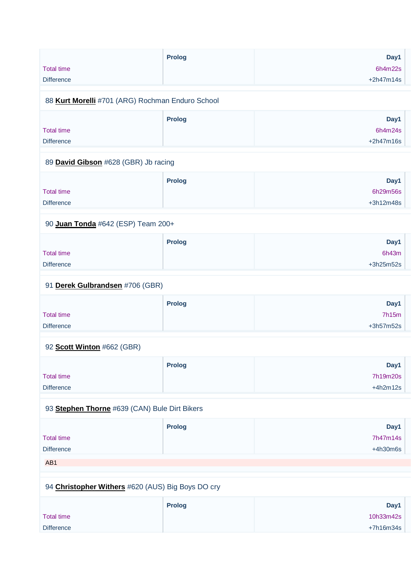|                                                  | <b>Prolog</b> | Day1        |
|--------------------------------------------------|---------------|-------------|
| <b>Total time</b>                                |               | 6h4m22s     |
| <b>Difference</b>                                |               | $+2h47m14s$ |
|                                                  |               |             |
| 88 Kurt Morelli #701 (ARG) Rochman Enduro School |               |             |

|                   | Prolog | Day1        |
|-------------------|--------|-------------|
| <b>Total time</b> |        | 6h4m24s     |
| <b>Difference</b> |        | $+2h47m16s$ |
|                   |        |             |

# 89 **[David Gibson](https://www.redbullromaniacs.com/for-competitors/profile/?e=rbr2019&b=628)** #628 (GBR) Jb racing

|                   | <b>Prolog</b> | Day1        |
|-------------------|---------------|-------------|
| <b>Total time</b> |               | 6h29m56s    |
| <b>Difference</b> |               | $+3h12m48s$ |
|                   |               |             |

# 90 **[Juan Tonda](https://www.redbullromaniacs.com/for-competitors/profile/?e=rbr2019&b=642)** #642 (ESP) Team 200+

|                   | <b>Prolog</b> | Day1        |
|-------------------|---------------|-------------|
| <b>Total time</b> |               | 6h43m       |
| <b>Difference</b> |               | $+3h25m52s$ |

# 91 **[Derek Gulbrandsen](https://www.redbullromaniacs.com/for-competitors/profile/?e=rbr2019&b=706)** #706 (GBR)

|                   | <b>Prolog</b> | Day1        |
|-------------------|---------------|-------------|
| <b>Total time</b> |               | 7h15m       |
| <b>Difference</b> |               | $+3h57m52s$ |

# 92 **[Scott Winton](https://www.redbullromaniacs.com/for-competitors/profile/?e=rbr2019&b=662)** #662 (GBR)

|                   | <b>Prolog</b> | Day1       |
|-------------------|---------------|------------|
| <b>Total time</b> |               | 7h19m20s   |
| <b>Difference</b> |               | $+4h2m12s$ |

# 93 **[Stephen Thorne](https://www.redbullromaniacs.com/for-competitors/profile/?e=rbr2019&b=639)** #639 (CAN) Bule Dirt Bikers

|                   | <b>Prolog</b> | Day1       |
|-------------------|---------------|------------|
| <b>Total time</b> |               | 7h47m14s   |
| <b>Difference</b> |               | $+4h30m6s$ |
| AB <sub>1</sub>   |               |            |

# 94 **[Christopher Withers](https://www.redbullromaniacs.com/for-competitors/profile/?e=rbr2019&b=620)** #620 (AUS) Big Boys DO cry

|                   | <b>Prolog</b> | Day1        |
|-------------------|---------------|-------------|
| Total time        |               | 10h33m42s   |
| <b>Difference</b> |               | $+7h16m34s$ |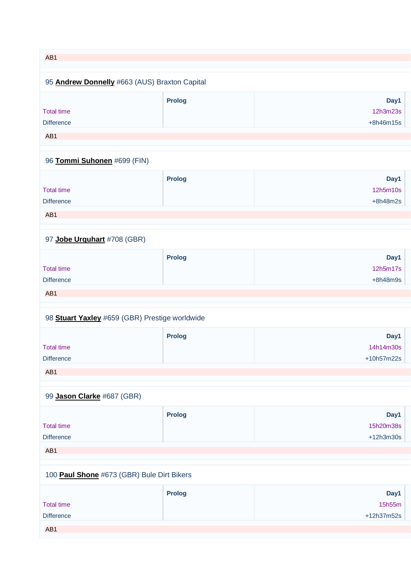# AB1 95 **[Andrew Donnelly](https://www.redbullromaniacs.com/for-competitors/profile/?e=rbr2019&b=663)** #663 (AUS) Braxton Capital Total time **Difference Prolog Day1** 12h3m23s +8h46m15s AB1 96 **[Tommi Suhonen](https://www.redbullromaniacs.com/for-competitors/profile/?e=rbr2019&b=699)** #699 (FIN)

|                   | <b>Prolog</b> | Day1       |
|-------------------|---------------|------------|
| <b>Total time</b> |               | 12h5m10s   |
| <b>Difference</b> |               | $+8h48m2s$ |
|                   |               |            |
| AB <sub>1</sub>   |               |            |

# 97 **[Jobe Urquhart](https://www.redbullromaniacs.com/for-competitors/profile/?e=rbr2019&b=708)** #708 (GBR)

|                   | <b>Prolog</b> | Day1       |
|-------------------|---------------|------------|
| <b>Total time</b> |               | 12h5m17s   |
| <b>Difference</b> |               | $+8h48m9s$ |
| AB <sub>1</sub>   |               |            |

# 98 **[Stuart Yaxley](https://www.redbullromaniacs.com/for-competitors/profile/?e=rbr2019&b=659)** #659 (GBR) Prestige worldwide

|                   | <b>Prolog</b> | Day1       |
|-------------------|---------------|------------|
| <b>Total time</b> |               | 14h14m30s  |
| <b>Difference</b> |               | +10h57m22s |
|                   |               |            |
| AB <sub>1</sub>   |               |            |

### 99 **[Jason Clarke](https://www.redbullromaniacs.com/for-competitors/profile/?e=rbr2019&b=687)** #687 (GBR)

|                   | <b>Prolog</b> | Day1        |
|-------------------|---------------|-------------|
| <b>Total time</b> |               | 15h20m38s   |
| <b>Difference</b> |               | $+12h3m30s$ |
| AB <sub>1</sub>   |               |             |

#### 100 **[Paul Shone](https://www.redbullromaniacs.com/for-competitors/profile/?e=rbr2019&b=673)** #673 (GBR) Bule Dirt Bikers

|                   | <b>Prolog</b> | Day1       |
|-------------------|---------------|------------|
| <b>Total time</b> |               | 15h55m     |
| <b>Difference</b> |               | +12h37m52s |
| AB1               |               |            |